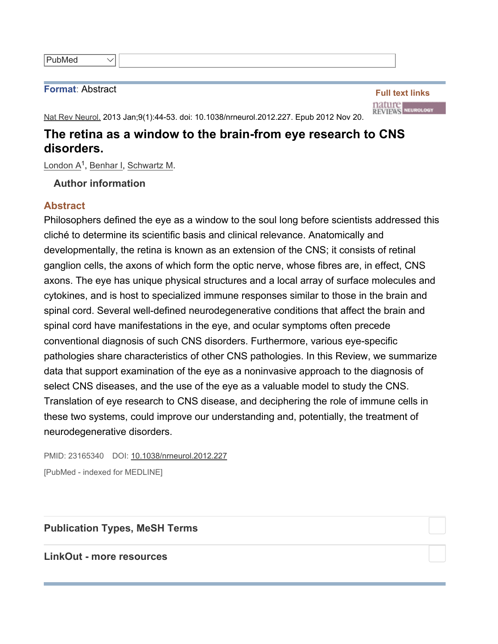## **Format**: Abstract

**Full text links TRITTE**<br>Reviews Neurology

Nat Rev Neurol. 2013 Jan;9(1):44-53. doi: 10.1038/nrneurol.2012.227. Epub 2012 Nov 20.

## **The retina as a window to the brain-from eye research to CNS disorders.**

London A<sup>1</sup>, Benhar I, Schwartz M.

 $\checkmark$ 

**Author information**

## **Abstract**

Philosophers defined the eye as a window to the soul long before scientists addressed this cliché to determine its scientific basis and clinical relevance. Anatomically and developmentally, the retina is known as an extension of the CNS; it consists of retinal ganglion cells, the axons of which form the optic nerve, whose fibres are, in effect, CNS axons. The eye has unique physical structures and a local array of surface molecules and cytokines, and is host to specialized immune responses similar to those in the brain and spinal cord. Several well-defined neurodegenerative conditions that affect the brain and spinal cord have manifestations in the eye, and ocular symptoms often precede conventional diagnosis of such CNS disorders. Furthermore, various eye-specific pathologies share characteristics of other CNS pathologies. In this Review, we summarize data that support examination of the eye as a noninvasive approach to the diagnosis of select CNS diseases, and the use of the eye as a valuable model to study the CNS. Translation of eye research to CNS disease, and deciphering the role of immune cells in these two systems, could improve our understanding and, potentially, the treatment of neurodegenerative disorders.

PMID: 23165340 DOI: 10.1038/nrneurol.2012.227 [PubMed - indexed for MEDLINE]

**Publication Types, MeSH Terms**

**LinkOut - more resources**